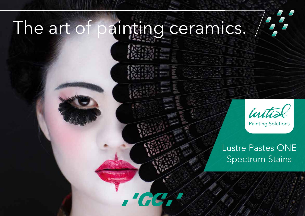# The art of painting ceramics.



Painting Solutions

Lustre Pastes ONE Spectrum Stains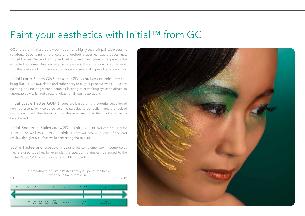### Paint your aesthetics with Initial™ from GC

GC offers the Initial users the most modern and highly aesthetic paintable ceramic solutions. Depending on the case and desired properties, two product lines, Initial Lustre Pastes Family and Initial Spectrum Stains, will provide the expected outcome. They are suitable for a wide CTE–range allowing you to work with the complete GC Initial ceramic range and nearly all types of other ceramics.

Initial Lustre Pastes ONE, the unique 3D paintable ceramics from GC, bring fluorescence, depth and authenticity to all your precious works … just by painting. You no longer need complex layering or extra firing cycles to obtain an unsurpassed vitality and a natural glaze for all your restorations.

Initial Lustre Pastes GUM Shades are based on a thoughtful selection of non-fluorescent, pink coloured ceramic particles to perfectly mimic the look of natural gums. A lifelike transition from the crown margin to the gingiva can easily be achieved.

Initial Spectrum Stains offer a 2D staining effect and can be used for internal as well as external staining. They will provide a very refined end result with a glossy surface while conserving the texture.

Lustre Pastes and Spectrum Stains are complementary. In some cases they are used together; for example, the Spectrum Stains can be added to the Lustre Pastes ONE or to the ceramic build-up powders.





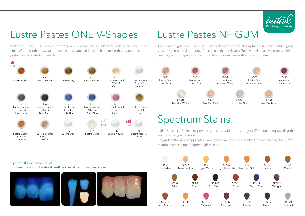

### Lustre Pastes ONE V-Shades

With the "Body A-D" shades, the required V-shade can be obtained very easily and in no time. With the other available effect shades, you can further characterise the restorations for a perfectly assimilated end result.



### Lustre Pastes NF GUM

The 5 unique gum coloured Lustre Pastes allow an individual adaptation, to match natural gingival shades in natural harmony. You can use the 4 mixable Gum Modifiers allowing for unlimited creativity and to reproduce the most delicate gum case without any problem.



### Spectrum Stains

Initial Spectrum Stains are powder stains available in a variety of 20 colours empowering the aesthetics of your restorations.

Regardless the way of application, a very fine end result will be obtained maintaining the surface texture and assuring an optimal gloss level.



Optimal fluorescence level. Ensures the look of natural teeth under all light circumstances.





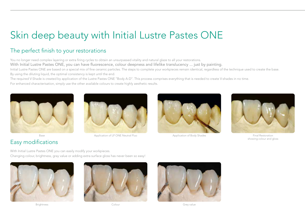## Skin deep beauty with Initial Lustre Pastes ONE

### The perfect finish to your restorations

You no longer need complex layering or extra firing cycles to obtain an unsurpassed vitality and natural glaze to all your restorations.

With Initial Lustre Pastes ONE, you can have fluorescence, colour deepness and lifelike translucency ... just by painting.

Initial Lustre Pastes ONE are based on a special mix of fine ceramic particles. The steps to complete your workpieces remain identical, regardless of the technique used to create the base. By using the diluting liquid, the optimal consistency is kept until the end.

The required V-Shade is created by application of the Lustre Pastes ONE ''Body A-D''. This process comprises everything that is needed to create V-shades in no time.

For enhanced characterisation, simply use the other available colours to create highly aesthetic results.



Easy modifications



Base **Application of LP ONE Neutral Fluo** Application of Body Shades **Final Restoration** Final Restoration





showing colour and gloss

With Initial Lustre Pastes ONE you can easily modify your workpieces. Changing colour, brightness, gray value or adding extra surface gloss has never been so easy!







Brightness Colour Grey value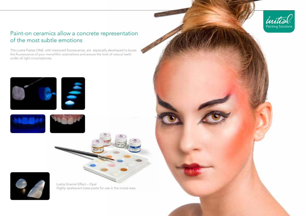

### Paint-on ceramics allow a concrete representation of the most subtle emotions

The Lustre Pastes ONE, with improved fluorescence, are especially developed to boost the fluorescence of your monolithic restorations and ensure the look of natural teeth under all light circumstances.







Lustre Enamel Effect – Opal Highly opalescent base paste for use in the incisal area.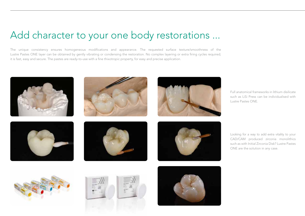### Add character to your one body restorations ...

The unique consistency ensures homogeneous modifications and appearance. The requested surface texture/smoothness of the Lustre Pastes ONE layer can be obtained by gently vibrating or condensing the restoration. No complex layering or extra firing cycles required; it is fast, easy and secure. The pastes are ready-to-use with a fine thixotropic property, for easy and precise application.



Full anatomical frameworks in lithium disilicate such as LiSi Press can be individualised with Lustre Pastes ONE.

Looking for a way to add extra vitality to your CAD/CAM produced zirconia monolithics such as with Initial Zirconia Disk? Lustre Pastes ONE are the solution in any case.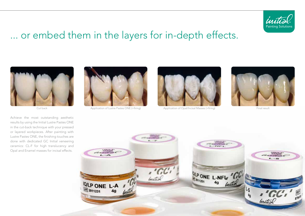

### ... or embed them in the layers for in-depth effects.



Achieve the most outstanding aesthetic results by using the Initial Lustre Pastes ONE in the cut-back technique with your pressed or layered workpieces. After painting with Lustre Pastes ONE, the finishing touches are done with dedicated GC Initial veneering ceramics: CL-F for high translucency and Opal and Enamel masses for incisal effects.





Cut back Application of Lustre Pastes ONE (+firing) Application of Opal/Incisal Masses (+firing) Final result



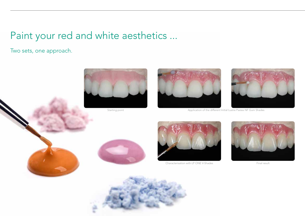## Paint your red and white aesthetics ...

Two sets, one approach.





Starting point **Application of the different Initial Lustre Pastes NF Gum Shades** Starting point







Characterisation with LP ONE V-Shades Final result



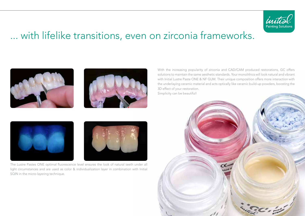

### ... with lifelike transitions, even on zirconia frameworks.





With the increasing popularity of zirconia and CAD/CAM produced restorations, GC offers solutions to maintain the same aesthetic standards. Your monolithics will look natural and vibrant with Initial Lustre Paste ONE & NF GUM. Their unique composition offers more interaction with the underlaying ceramic material and acts optically like ceramic build-up powders, boosting the 3D effect of your restoration.

Simplicity can be beautiful!





The Lustre Pastes ONE optimal fluorescence level ensures the look of natural teeth under all light circumstances and are used as color & individualization layer in combination with Initial SQIN in the micro-layering technique.

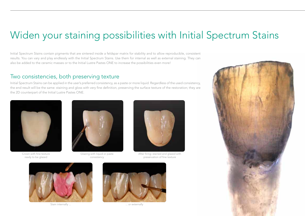### Widen your staining possibilities with Initial Spectrum Stains

Initial Spectrum Stains contain pigments that are sintered inside a feldspar matrix for stability and to allow reproducible, consistent results. You can vary and play endlessly with the Initial Spectrum Stains. Use them for internal as well as external staining. They can also be added to the ceramic masses or to the Initial Lustre Pastes ONE to increase the possibilities even more!

#### Two consistencies, both preserving texture

Initial Spectrum Stains can be applied in the user's preferred consistency, as a paste or more liquid. Regardless of the used consistency, the end result will be the same: staining and gloss with very fine definition, preserving the surface texture of the restoration; they are the 2D counterpart of the Initial Lustre Pastes ONE.



Crown with fine texture ready to be glazed



Glazing with liquid or paste consistency



After firing: stained and glazed with preservation of fine texture



Stain internally ... ... or externally



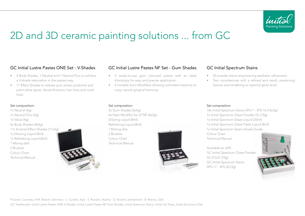

## 2D and 3D ceramic painting solutions ... from GC

- 4 Body Shades, 1 Neutral and 1 Neutral Fluo to achieve a V-shade restoration in the easiest way.
- 11 Effect Shades to release your artistic potential and paint white spots, decalcifications, hair lines and crack lines.

#### Set composition:

1x Neutral (4g) 1x Neutral Fluo (4g) 1x Value (4g) 4x Body Shades (4x4g) 11x Enamel Effect Shades (11x4g) 1x Diluting Liquid (8ml) 1x Refreshing Liquid (8ml) 1 Mixing dish 2 Brushes Colour Chart Technical Manual



#### GC Initial Lustre Pastes ONE Set - V-Shades GC Initial Lustre Pastes NF Set - Gum Shades GC Initial Spectrum Stains

- 5 ready-to-use gum coloured pastes with an ideal thixotropy for easy and precise application.
- 4 mixable Gum Modifiers allowing unlimited creativity to copy natural gingival harmony.

- 20 powder stains empowering aesthetic refinement.
- Two consistencies with a refined end result, preserving texture and rendering an optimal gloss level.

#### Set composition:

5x Gum Shades (5x4g) 4x Stain Modifier for LP NF (4x3g) Diluting Liquid (8ml) Refreshing Liquid (8ml) 1 Mixing dish 2 Brushes Colour Chart Technical Manual



#### Set composition:

16x Initial Spectrum Stains SPS-1 - SPS-16 (16x3g) 1x Initial Spectrum Glaze Powder GL (10g) 1x Initial Spectrum Glaze Liquid (25ml) 1x Initial Spectrum Glaze Paste Liquid (8ml) 1x Initial Spectrum Stains Shade Guide

Colour Chart Technical Manual

Available as refill: GC Initial Spectrum Glaze Powder GL-FLUO (10g) GC Initial Spectrum Stains SPS-17 - SPS-20 (3g)



Pictures: Courtesy of M. Brüsch, Germany - L. Cavallo, Italy - S. Roozen, Austria - D. Ibraimi, Switzerland - B. Marais, USA GC Trademarks: Initial Lustre Pastes ONE V-Shades, Initial Lustre Pastes NF Gum Shades, Initial Spectrum Stains, Initial LiSi Press, Initial Zirconium Disk